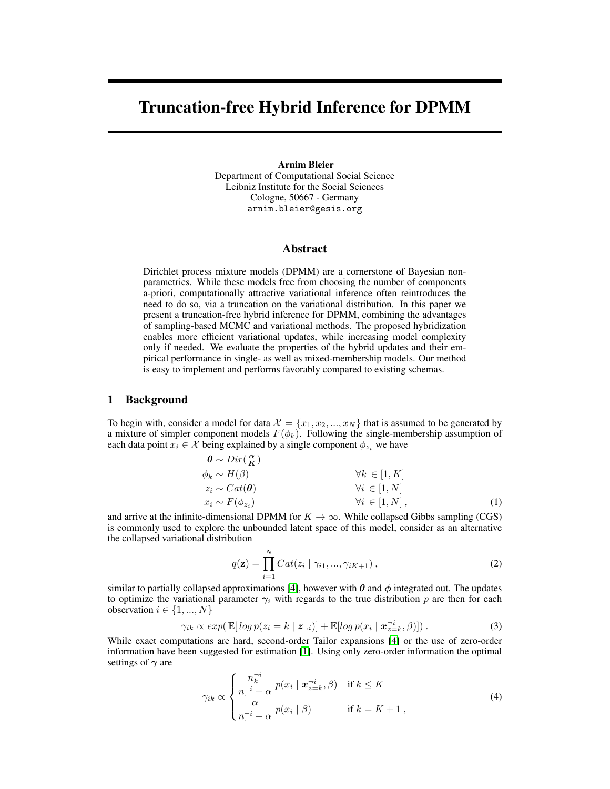# Truncation-free Hybrid Inference for DPMM

#### Arnim Bleier

Department of Computational Social Science Leibniz Institute for the Social Sciences Cologne, 50667 - Germany arnim.bleier@gesis.org

#### Abstract

Dirichlet process mixture models (DPMM) are a cornerstone of Bayesian nonparametrics. While these models free from choosing the number of components a-priori, computationally attractive variational inference often reintroduces the need to do so, via a truncation on the variational distribution. In this paper we present a truncation-free hybrid inference for DPMM, combining the advantages of sampling-based MCMC and variational methods. The proposed hybridization enables more efficient variational updates, while increasing model complexity only if needed. We evaluate the properties of the hybrid updates and their empirical performance in single- as well as mixed-membership models. Our method is easy to implement and performs favorably compared to existing schemas.

### 1 Background

To begin with, consider a model for data  $\mathcal{X} = \{x_1, x_2, ..., x_N\}$  that is assumed to be generated by a mixture of simpler component models  $F(\phi_k)$ . Following the single-membership assumption of each data point  $x_i \in \mathcal{X}$  being explained by a single component  $\phi_{z_i}$  we have

$$
\begin{array}{ll}\n\boldsymbol{\theta} \sim Dir(\frac{\boldsymbol{\alpha}}{K}) \\
\phi_k \sim H(\beta) \\
z_i \sim Cat(\boldsymbol{\theta}) \\
x_i \sim F(\phi_{z_i})\n\end{array}\n\qquad \qquad \forall k \in [1, K] \\
\forall i \in [1, N] \\
\forall i \in [1, N],
$$
\n(1)

and arrive at the infinite-dimensional DPMM for  $K \to \infty$ . While collapsed Gibbs sampling (CGS) is commonly used to explore the unbounded latent space of this model, consider as an alternative the collapsed variational distribution

$$
q(\mathbf{z}) = \prod_{i=1}^{N} Cat(z_i \mid \gamma_{i1}, ..., \gamma_{iK+1}), \qquad (2)
$$

similar to partially collapsed approximations [\[4\]](#page-4-0), however with  $\theta$  and  $\phi$  integrated out. The updates to optimize the variational parameter  $\gamma_i$  with regards to the true distribution p are then for each observation  $i \in \{1, ..., N\}$ 

$$
\gamma_{ik} \propto exp(\mathbb{E}[log \ p(z_i = k \mid \mathbf{z}_{\neg i})] + \mathbb{E}[log \ p(x_i \mid \mathbf{x}_{z=k}^{-i}, \beta)]) \,. \tag{3}
$$

While exact computations are hard, second-order Tailor expansions [\[4\]](#page-4-0) or the use of zero-order information have been suggested for estimation [\[1\]](#page-4-1). Using only zero-order information the optimal settings of  $\gamma$  are

<span id="page-0-0"></span>
$$
\gamma_{ik} \propto \begin{cases} \frac{n_k^{-i}}{n^{-i} + \alpha} \ p(x_i \mid \mathbf{x}_{z=k}^{-i}, \beta) & \text{if } k \le K \\ \frac{\alpha}{n^{-i} + \alpha} \ p(x_i \mid \beta) & \text{if } k = K + 1, \end{cases}
$$
 (4)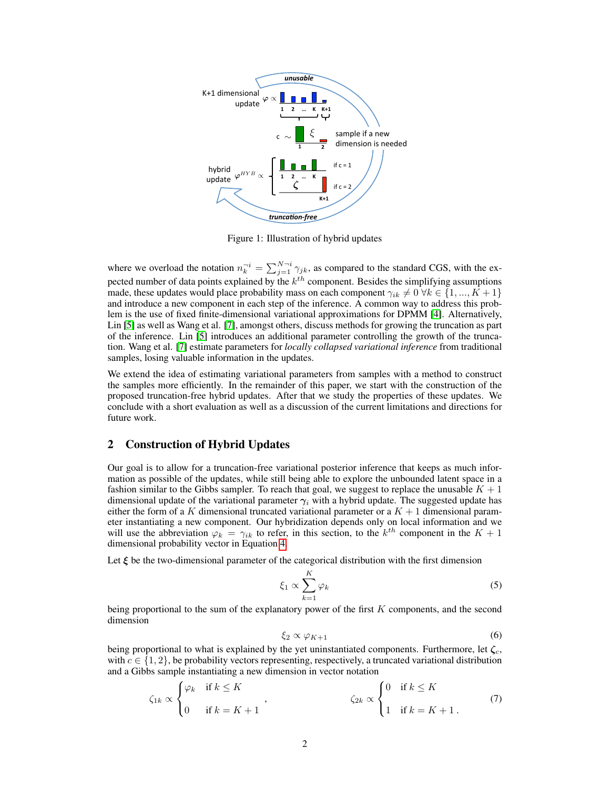

<span id="page-1-0"></span>Figure 1: Illustration of hybrid updates

where we overload the notation  $n_k^{-i} = \sum_{j=1}^{N-i} \gamma_{jk}$ , as compared to the standard CGS, with the expected number of data points explained by the  $k^{th}$  component. Besides the simplifying assumptions made, these updates would place probability mass on each component  $\gamma_{ik} \neq 0 \ \forall k \in \{1, ..., K + 1\}$ and introduce a new component in each step of the inference. A common way to address this problem is the use of fixed finite-dimensional variational approximations for DPMM [\[4\]](#page-4-0). Alternatively, Lin [\[5\]](#page-4-2) as well as Wang et al. [\[7\]](#page-4-3), amongst others, discuss methods for growing the truncation as part of the inference. Lin [\[5\]](#page-4-2) introduces an additional parameter controlling the growth of the truncation. Wang et al. [\[7\]](#page-4-3) estimate parameters for *locally collapsed variational inference* from traditional samples, losing valuable information in the updates.

We extend the idea of estimating variational parameters from samples with a method to construct the samples more efficiently. In the remainder of this paper, we start with the construction of the proposed truncation-free hybrid updates. After that we study the properties of these updates. We conclude with a short evaluation as well as a discussion of the current limitations and directions for future work.

## 2 Construction of Hybrid Updates

Our goal is to allow for a truncation-free variational posterior inference that keeps as much information as possible of the updates, while still being able to explore the unbounded latent space in a fashion similar to the Gibbs sampler. To reach that goal, we suggest to replace the unusable  $K + 1$ dimensional update of the variational parameter  $\gamma_i$  with a hybrid update. The suggested update has either the form of a K dimensional truncated variational parameter or a  $K + 1$  dimensional parameter instantiating a new component. Our hybridization depends only on local information and we will use the abbreviation  $\varphi_k = \gamma_{ik}$  to refer, in this section, to the  $k^{th}$  component in the  $K + 1$ dimensional probability vector in Equation [4.](#page-0-0)

Let  $\xi$  be the two-dimensional parameter of the categorical distribution with the first dimension

<span id="page-1-1"></span>
$$
\xi_1 \propto \sum_{k=1}^{K} \varphi_k \tag{5}
$$

being proportional to the sum of the explanatory power of the first  $K$  components, and the second dimension

<span id="page-1-3"></span><span id="page-1-2"></span>
$$
\xi_2 \propto \varphi_{K+1} \tag{6}
$$

being proportional to what is explained by the yet uninstantiated components. Furthermore, let  $\zeta_c$ , with  $c \in \{1, 2\}$ , be probability vectors representing, respectively, a truncated variational distribution and a Gibbs sample instantiating a new dimension in vector notation

$$
\zeta_{1k} \propto \begin{cases} \varphi_k & \text{if } k \le K \\ 0 & \text{if } k = K + 1 \end{cases}, \qquad \zeta_{2k} \propto \begin{cases} 0 & \text{if } k \le K \\ 1 & \text{if } k = K + 1 \end{cases} \tag{7}
$$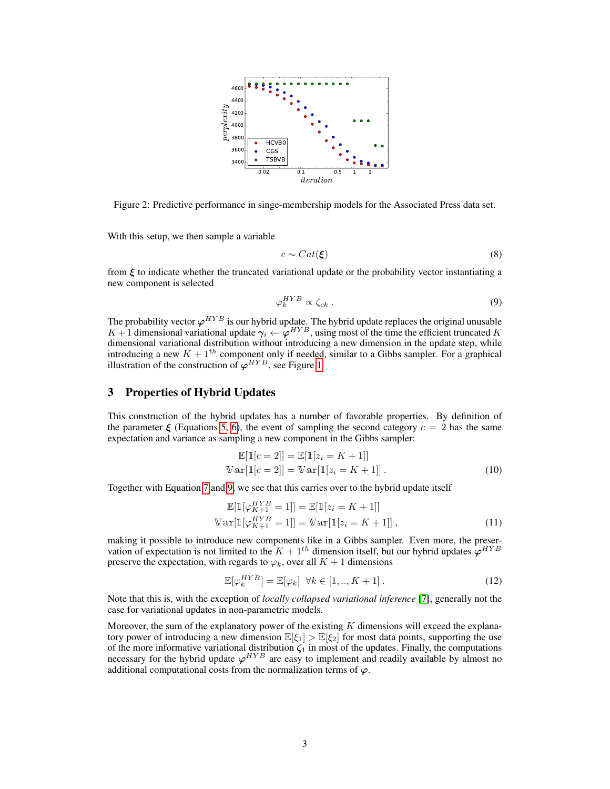

<span id="page-2-1"></span>Figure 2: Predictive performance in singe-membership models for the Associated Press data set.

With this setup, we then sample a variable

<span id="page-2-0"></span>
$$
c \sim Cat(\xi) \tag{8}
$$

from  $\xi$  to indicate whether the truncated variational update or the probability vector instantiating a new component is selected

$$
\varphi_k^{HYB} \propto \zeta_{ck} \ . \tag{9}
$$

The probability vector  $\varphi^{HYB}$  is our hybrid update. The hybrid update replaces the original unusable  $K+1$  dimensional variational update  $\gamma_i \leftarrow \varphi^{HYB}$ , using most of the time the efficient truncated K dimensional variational distribution without introducing a new dimension in the update step, while introducing a new  $K + 1<sup>th</sup>$  component only if needed, similar to a Gibbs sampler. For a graphical illustration of the construction of  $\varphi^{HYB}$ , see Figure [1.](#page-1-0)

#### 3 Properties of Hybrid Updates

This construction of the hybrid updates has a number of favorable properties. By definition of the parameter  $\xi$  (Equations [5,](#page-1-1) [6\)](#page-1-2), the event of sampling the second category  $c = 2$  has the same expectation and variance as sampling a new component in the Gibbs sampler:

$$
\mathbb{E}[\mathbb{1}[c=2]] = \mathbb{E}[\mathbb{1}[z_i = K+1]]
$$
  
\n
$$
\mathbb{V}\text{ar}[\mathbb{1}[c=2]] = \mathbb{V}\text{ar}[\mathbb{1}[z_i = K+1]].
$$
 (10)

Together with Equation [7](#page-1-3) and [9,](#page-2-0) we see that this carries over to the hybrid update itself

$$
\mathbb{E}[\mathbb{1}[\varphi_{K+1}^{HYB} = 1]] = \mathbb{E}[\mathbb{1}[z_i = K+1]]
$$
  

$$
\mathbb{V}\text{ar}[\mathbb{1}[\varphi_{K+1}^{HYB} = 1]] = \mathbb{V}\text{ar}[\mathbb{1}[z_i = K+1]] ,
$$
 (11)

making it possible to introduce new components like in a Gibbs sampler. Even more, the preservation of expectation is not limited to the  $K + 1<sup>th</sup>$  dimension itself, but our hybrid updates  $\varphi^{HYB}$ preserve the expectation, with regards to  $\varphi_k$ , over all  $K + 1$  dimensions

$$
\mathbb{E}[\varphi_k^{HYB}] = \mathbb{E}[\varphi_k] \quad \forall k \in [1,..,K+1]. \tag{12}
$$

Note that this is, with the exception of *locally collapsed variational inference* [\[7\]](#page-4-3), generally not the case for variational updates in non-parametric models.

Moreover, the sum of the explanatory power of the existing  $K$  dimensions will exceed the explanatory power of introducing a new dimension  $\mathbb{E}[\xi_1] > \mathbb{E}[\xi_2]$  for most data points, supporting the use of the more informative variational distribution  $\zeta_1$  in most of the updates. Finally, the computations necessary for the hybrid update  $\varphi^{HYB}$  are easy to implement and readily available by almost no additional computational costs from the normalization terms of  $\varphi$ .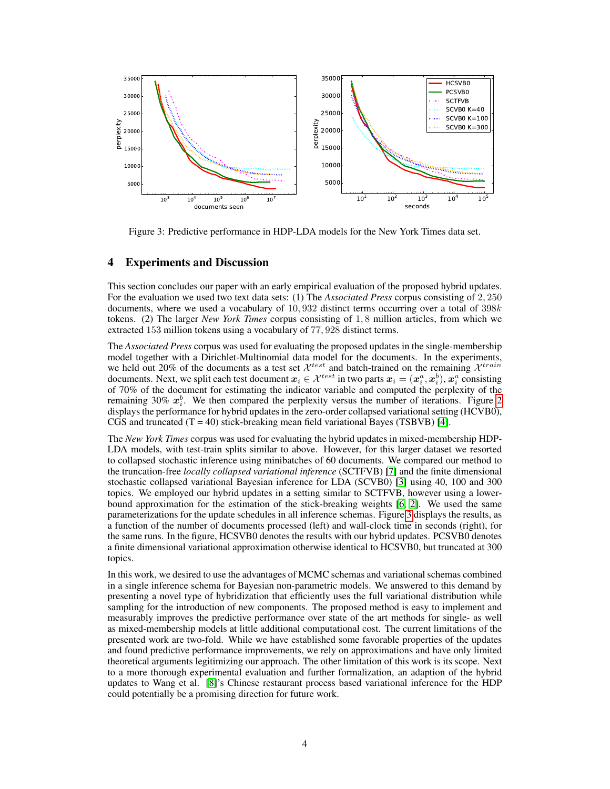

<span id="page-3-0"></span>Figure 3: Predictive performance in HDP-LDA models for the New York Times data set.

# 4 Experiments and Discussion

This section concludes our paper with an early empirical evaluation of the proposed hybrid updates. For the evaluation we used two text data sets: (1) The *Associated Press* corpus consisting of 2, 250 documents, where we used a vocabulary of  $10,932$  distinct terms occurring over a total of  $398k$ tokens. (2) The larger *New York Times* corpus consisting of 1, 8 million articles, from which we extracted 153 million tokens using a vocabulary of 77, 928 distinct terms.

The *Associated Press* corpus was used for evaluating the proposed updates in the single-membership model together with a Dirichlet-Multinomial data model for the documents. In the experiments, we held out 20% of the documents as a test set  $\mathcal{X}^{test}$  and batch-trained on the remaining  $\mathcal{X}^{train}$ documents. Next, we split each test document  $x_i \in \mathcal{X}^{test}$  in two parts  $x_i = (x_i^a, x_i^b), x_i^a$  consisting of 70% of the document for estimating the indicator variable and computed the perplexity of the remaining 30%  $x_i^b$ . We then compared the perplexity versus the number of iterations. Figure [2](#page-2-1) displays the performance for hybrid updates in the zero-order collapsed variational setting (HCVB0), CGS and truncated  $(T = 40)$  stick-breaking mean field variational Bayes (TSBVB) [\[4\]](#page-4-0).

The *New York Times* corpus was used for evaluating the hybrid updates in mixed-membership HDP-LDA models, with test-train splits similar to above. However, for this larger dataset we resorted to collapsed stochastic inference using minibatches of 60 documents. We compared our method to the truncation-free *locally collapsed variational inference* (SCTFVB) [\[7\]](#page-4-3) and the finite dimensional stochastic collapsed variational Bayesian inference for LDA (SCVB0) [\[3\]](#page-4-4) using 40, 100 and 300 topics. We employed our hybrid updates in a setting similar to SCTFVB, however using a lowerbound approximation for the estimation of the stick-breaking weights [\[6,](#page-4-5) [2\]](#page-4-6). We used the same parameterizations for the update schedules in all inference schemas. Figure [3](#page-3-0) displays the results, as a function of the number of documents processed (left) and wall-clock time in seconds (right), for the same runs. In the figure, HCSVB0 denotes the results with our hybrid updates. PCSVB0 denotes a finite dimensional variational approximation otherwise identical to HCSVB0, but truncated at 300 topics.

In this work, we desired to use the advantages of MCMC schemas and variational schemas combined in a single inference schema for Bayesian non-parametric models. We answered to this demand by presenting a novel type of hybridization that efficiently uses the full variational distribution while sampling for the introduction of new components. The proposed method is easy to implement and measurably improves the predictive performance over state of the art methods for single- as well as mixed-membership models at little additional computational cost. The current limitations of the presented work are two-fold. While we have established some favorable properties of the updates and found predictive performance improvements, we rely on approximations and have only limited theoretical arguments legitimizing our approach. The other limitation of this work is its scope. Next to a more thorough experimental evaluation and further formalization, an adaption of the hybrid updates to Wang et al. [\[8\]](#page-4-7)'s Chinese restaurant process based variational inference for the HDP could potentially be a promising direction for future work.